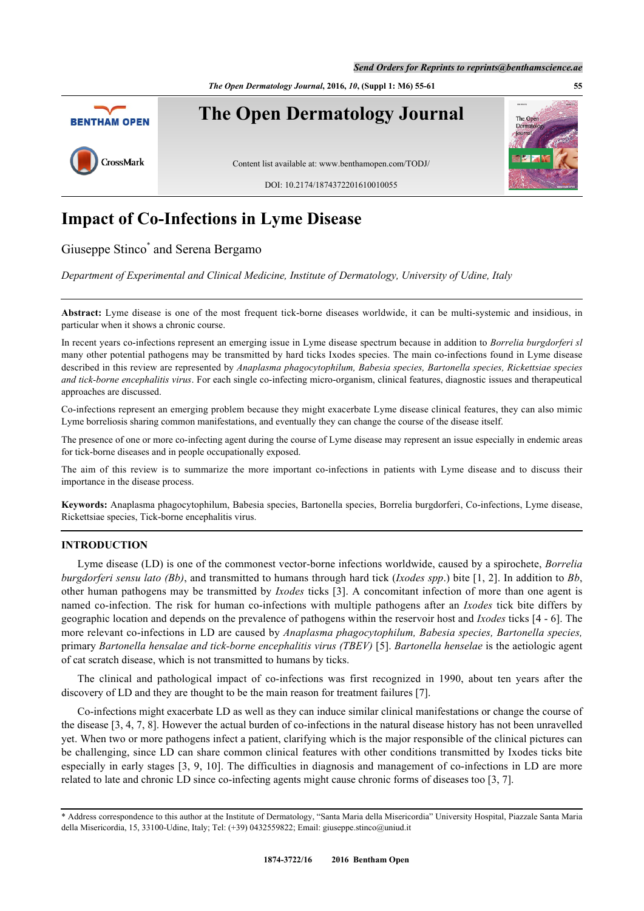*The Open Dermatology Journal***, 2016,** *10***, (Suppl 1: M6) 55-61 55**



# **Impact of Co-Infections in Lyme Disease**

Giuseppe Stinco<sup>[\\*](#page-0-0)</sup> and Serena Bergamo

*Department of Experimental and Clinical Medicine, Institute of Dermatology, University of Udine, Italy*

**Abstract:** Lyme disease is one of the most frequent tick-borne diseases worldwide, it can be multi-systemic and insidious, in particular when it shows a chronic course.

In recent years co-infections represent an emerging issue in Lyme disease spectrum because in addition to *Borrelia burgdorferi sl* many other potential pathogens may be transmitted by hard ticks Ixodes species. The main co-infections found in Lyme disease described in this review are represented by *Anaplasma phagocytophilum, Babesia species, Bartonella species, Rickettsiae species and tick-borne encephalitis virus*. For each single co-infecting micro-organism, clinical features, diagnostic issues and therapeutical approaches are discussed.

Co-infections represent an emerging problem because they might exacerbate Lyme disease clinical features, they can also mimic Lyme borreliosis sharing common manifestations, and eventually they can change the course of the disease itself.

The presence of one or more co-infecting agent during the course of Lyme disease may represent an issue especially in endemic areas for tick-borne diseases and in people occupationally exposed.

The aim of this review is to summarize the more important co-infections in patients with Lyme disease and to discuss their importance in the disease process.

**Keywords:** Anaplasma phagocytophilum, Babesia species, Bartonella species, Borrelia burgdorferi, Co-infections, Lyme disease, Rickettsiae species, Tick-borne encephalitis virus.

## **INTRODUCTION**

Lyme disease (LD) is one of the commonest vector-borne infections worldwide, caused by a spirochete, *Borrelia burgdorferi sensu lato (Bb)*, and transmitted to humans through hard tick (*Ixodes spp*.) bite [[1,](#page-4-0) [2\]](#page-4-1). In addition to *Bb*, other human pathogens may be transmitted by *Ixodes* ticks [\[3](#page-4-2)]. A concomitant infection of more than one agent is named co-infection. The risk for human co-infections with multiple pathogens after an *Ixodes* tick bite differs by geographic location and depends on the prevalence of pathogens within the reservoir host and *Ixodes* ticks [\[4](#page-4-3) - [6](#page-4-4)]. The more relevant co-infections in LD are caused by *Anaplasma phagocytophilum, Babesia species, Bartonella species,* primary *Bartonella hensalae and tick-borne encephalitis virus (TBEV)* [[5\]](#page-4-5). *Bartonella henselae* is the aetiologic agent of cat scratch disease, which is not transmitted to humans by ticks.

The clinical and pathological impact of co-infections was first recognized in 1990, about ten years after the discovery of LD and they are thought to be the main reason for treatment failures [\[7](#page-4-6)].

Co-infections might exacerbate LD as well as they can induce similar clinical manifestations or change the course of the disease [\[3](#page-4-2), [4](#page-4-3), [7](#page-4-6), [8](#page-4-7)]. However the actual burden of co-infections in the natural disease history has not been unravelled yet. When two or more pathogens infect a patient, clarifying which is the major responsible of the clinical pictures can be challenging, since LD can share common clinical features with other conditions transmitted by Ixodes ticks bite especially in early stages [\[3](#page-4-2), [9,](#page-4-8) [10\]](#page-4-9). The difficulties in diagnosis and management of co-infections in LD are more related to late and chronic LD since co-infecting agents might cause chronic forms of diseases too [\[3](#page-4-2), [7](#page-4-6)].

<span id="page-0-0"></span><sup>\*</sup> Address correspondence to this author at the Institute of Dermatology, "Santa Maria della Misericordia" University Hospital, Piazzale Santa Maria della Misericordia, 15, 33100-Udine, Italy; Tel: (+39) 0432559822; Email: [giuseppe.stinco@uniud.it](mailto:giuseppe.stinco@uniud.it)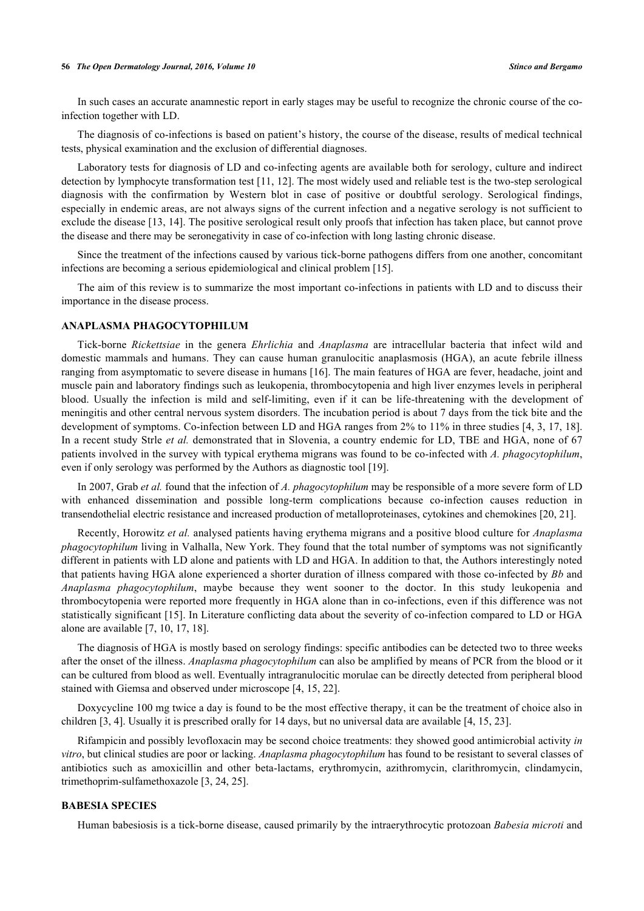#### **56** *The Open Dermatology Journal, 2016, Volume 10 Stinco and Bergamo*

In such cases an accurate anamnestic report in early stages may be useful to recognize the chronic course of the coinfection together with LD.

The diagnosis of co-infections is based on patient's history, the course of the disease, results of medical technical tests, physical examination and the exclusion of differential diagnoses.

Laboratory tests for diagnosis of LD and co-infecting agents are available both for serology, culture and indirect detection by lymphocyte transformation test [[11,](#page-4-10) [12](#page-4-11)]. The most widely used and reliable test is the two-step serological diagnosis with the confirmation by Western blot in case of positive or doubtful serology. Serological findings, especially in endemic areas, are not always signs of the current infection and a negative serology is not sufficient to exclude the disease [[13,](#page-4-12) [14\]](#page-4-13). The positive serological result only proofs that infection has taken place, but cannot prove the disease and there may be seronegativity in case of co-infection with long lasting chronic disease.

Since the treatment of the infections caused by various tick-borne pathogens differs from one another, concomitant infections are becoming a serious epidemiological and clinical problem [\[15](#page-4-14)].

The aim of this review is to summarize the most important co-infections in patients with LD and to discuss their importance in the disease process.

#### **ANAPLASMA PHAGOCYTOPHILUM**

Tick-borne *Rickettsiae* in the genera *Ehrlichia* and *Anaplasma* are intracellular bacteria that infect wild and domestic mammals and humans. They can cause human granulocitic anaplasmosis (HGA), an acute febrile illness ranging from asymptomatic to severe disease in humans [[16\]](#page-5-0). The main features of HGA are fever, headache, joint and muscle pain and laboratory findings such as leukopenia, thrombocytopenia and high liver enzymes levels in peripheral blood. Usually the infection is mild and self-limiting, even if it can be life-threatening with the development of meningitis and other central nervous system disorders. The incubation period is about 7 days from the tick bite and the development of symptoms. Co-infection between LD and HGA ranges from 2% to 11% in three studies [\[4](#page-4-3), [3](#page-4-2)[, 17](#page-5-1), [18\]](#page-5-2). In a recent study Strle *et al.* demonstrated that in Slovenia, a country endemic for LD, TBE and HGA, none of 67 patients involved in the survey with typical erythema migrans was found to be co-infected with *A. phagocytophilum*, even if only serology was performed by the Authors as diagnostic tool [[19\]](#page-5-3).

In 2007, Grab *et al.* found that the infection of *A. phagocytophilum* may be responsible of a more severe form of LD with enhanced dissemination and possible long-term complications because co-infection causes reduction in transendothelial electric resistance and increased production of metalloproteinases, cytokines and chemokines [\[20](#page-5-4), [21](#page-5-5)].

Recently, Horowitz *et al.* analysed patients having erythema migrans and a positive blood culture for *Anaplasma phagocytophilum* living in Valhalla, New York. They found that the total number of symptoms was not significantly different in patients with LD alone and patients with LD and HGA. In addition to that, the Authors interestingly noted that patients having HGA alone experienced a shorter duration of illness compared with those co-infected by *Bb* and *Anaplasma phagocytophilum*, maybe because they went sooner to the doctor. In this study leukopenia and thrombocytopenia were reported more frequently in HGA alone than in co-infections, even if this difference was not statistically significant [[15\]](#page-4-14). In Literature conflicting data about the severity of co-infection compared to LD or HGA alone are available [\[7](#page-4-6), [10](#page-4-9), [17](#page-5-1), [18](#page-5-2)].

The diagnosis of HGA is mostly based on serology findings: specific antibodies can be detected two to three weeks after the onset of the illness. *Anaplasma phagocytophilum* can also be amplified by means of PCR from the blood or it can be cultured from blood as well. Eventually intragranulocitic morulae can be directly detected from peripheral blood stained with Giemsa and observed under microscope [[4,](#page-4-3) [15,](#page-4-14) [22\]](#page-5-6).

Doxycycline 100 mg twice a day is found to be the most effective therapy, it can be the treatment of choice also in children [\[3](#page-4-2), [4](#page-4-3)]. Usually it is prescribed orally for 14 days, but no universal data are available [\[4](#page-4-3), [15](#page-4-14), [23](#page-5-7)].

Rifampicin and possibly levofloxacin may be second choice treatments: they showed good antimicrobial activity *in vitro*, but clinical studies are poor or lacking. *Anaplasma phagocytophilum* has found to be resistant to several classes of antibiotics such as amoxicillin and other beta-lactams, erythromycin, azithromycin, clarithromycin, clindamycin, trimethoprim-sulfamethoxazole [\[3](#page-4-2), [24](#page-5-8), [25](#page-5-9)].

#### **BABESIA SPECIES**

Human babesiosis is a tick-borne disease, caused primarily by the intraerythrocytic protozoan *Babesia microti* and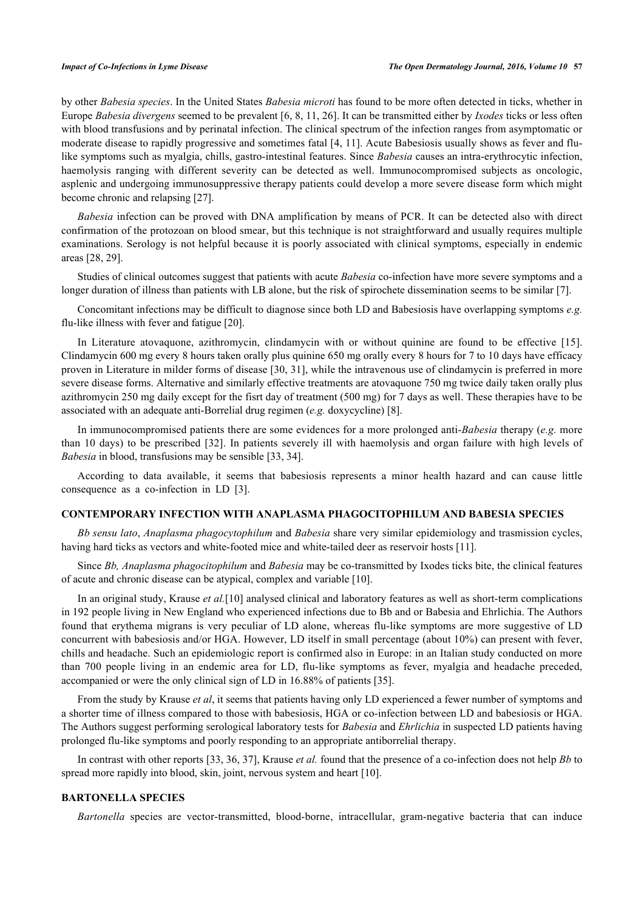by other *Babesia species*. In the United States *Babesia microti* has found to be more often detected in ticks, whether in Europe *Babesia divergens* seemed to be prevalent [[6](#page-4-4)[, 8](#page-4-7)[, 11](#page-4-10)[, 26](#page-5-10)]. It can be transmitted either by *Ixodes* ticks or less often with blood transfusions and by perinatal infection. The clinical spectrum of the infection ranges from asymptomatic or moderate disease to rapidly progressive and sometimes fatal [[4](#page-4-3), [11\]](#page-4-10). Acute Babesiosis usually shows as fever and flulike symptoms such as myalgia, chills, gastro-intestinal features. Since *Babesia* causes an intra-erythrocytic infection, haemolysis ranging with different severity can be detected as well. Immunocompromised subjects as oncologic, asplenic and undergoing immunosuppressive therapy patients could develop a more severe disease form which might become chronic and relapsing [\[27](#page-5-11)].

*Babesia* infection can be proved with DNA amplification by means of PCR. It can be detected also with direct confirmation of the protozoan on blood smear, but this technique is not straightforward and usually requires multiple examinations. Serology is not helpful because it is poorly associated with clinical symptoms, especially in endemic areas [\[28](#page-5-12), [29](#page-5-13)].

Studies of clinical outcomes suggest that patients with acute *Babesia* co-infection have more severe symptoms and a longer duration of illness than patients with LB alone, but the risk of spirochete dissemination seems to be similar [[7\]](#page-4-6).

Concomitant infections may be difficult to diagnose since both LD and Babesiosis have overlapping symptoms *e.g.* flu-like illness with fever and fatigue [[20\]](#page-5-4).

In Literature atovaquone, azithromycin, clindamycin with or without quinine are found to be effective [\[15\]](#page-4-14). Clindamycin 600 mg every 8 hours taken orally plus quinine 650 mg orally every 8 hours for 7 to 10 days have efficacy proven in Literature in milder forms of disease [\[30,](#page-5-14) [31\]](#page-5-15), while the intravenous use of clindamycin is preferred in more severe disease forms. Alternative and similarly effective treatments are atovaquone 750 mg twice daily taken orally plus azithromycin 250 mg daily except for the fisrt day of treatment (500 mg) for 7 days as well. These therapies have to be associated with an adequate anti-Borrelial drug regimen (*e.g.* doxycycline) [\[8](#page-4-7)].

In immunocompromised patients there are some evidences for a more prolonged anti-*Babesia* therapy (*e.g.* more than 10 days) to be prescribed [[32](#page-5-16)]. In patients severely ill with haemolysis and organ failure with high levels of *Babesia* in blood, transfusions may be sensible [\[33](#page-5-17), [34](#page-5-18)].

According to data available, it seems that babesiosis represents a minor health hazard and can cause little consequence as a co-infection in LD [\[3](#page-4-2)].

#### **CONTEMPORARY INFECTION WITH ANAPLASMA PHAGOCITOPHILUM AND BABESIA SPECIES**

*Bb sensu lato*, *Anaplasma phagocytophilum* and *Babesia* share very similar epidemiology and trasmission cycles, having hard ticks as vectors and white-footed mice and white-tailed deer as reservoir hosts [[11\]](#page-4-10).

Since *Bb, Anaplasma phagocitophilum* and *Babesia* may be co-transmitted by Ixodes ticks bite, the clinical features of acute and chronic disease can be atypical, complex and variable [[10\]](#page-4-9).

In an original study, Krause *et al.*[[10\]](#page-4-9) analysed clinical and laboratory features as well as short-term complications in 192 people living in New England who experienced infections due to Bb and or Babesia and Ehrlichia. The Authors found that erythema migrans is very peculiar of LD alone, whereas flu-like symptoms are more suggestive of LD concurrent with babesiosis and/or HGA. However, LD itself in small percentage (about 10%) can present with fever, chills and headache. Such an epidemiologic report is confirmed also in Europe: in an Italian study conducted on more than 700 people living in an endemic area for LD, flu-like symptoms as fever, myalgia and headache preceded, accompanied or were the only clinical sign of LD in 16.88% of patients [[35\]](#page-5-19).

From the study by Krause *et al*, it seems that patients having only LD experienced a fewer number of symptoms and a shorter time of illness compared to those with babesiosis, HGA or co-infection between LD and babesiosis or HGA. The Authors suggest performing serological laboratory tests for *Babesia* and *Ehrlichia* in suspected LD patients having prolonged flu-like symptoms and poorly responding to an appropriate antiborrelial therapy.

In contrast with other reports [\[33](#page-5-17), [36](#page-6-0), [37](#page-6-1)], Krause *et al.* found that the presence of a co-infection does not help *Bb* to spread more rapidly into blood, skin, joint, nervous system and heart [\[10](#page-4-9)].

#### **BARTONELLA SPECIES**

*Bartonella* species are vector-transmitted, blood-borne, intracellular, gram-negative bacteria that can induce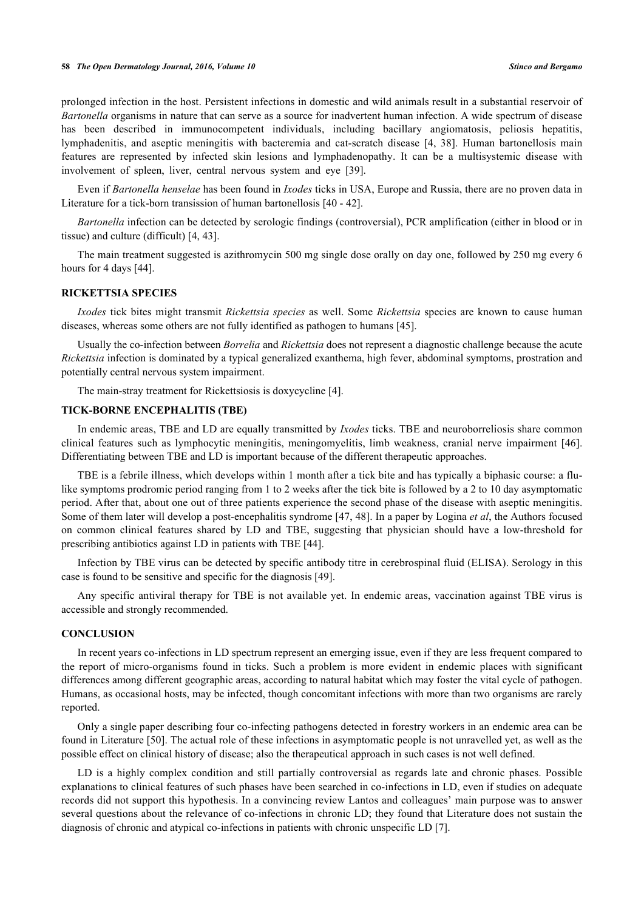prolonged infection in the host. Persistent infections in domestic and wild animals result in a substantial reservoir of *Bartonella* organisms in nature that can serve as a source for inadvertent human infection. A wide spectrum of disease has been described in immunocompetent individuals, including bacillary angiomatosis, peliosis hepatitis, lymphadenitis, and aseptic meningitis with bacteremia and cat-scratch disease[[4](#page-4-3)[, 38\]](#page-6-2). Human bartonellosis main features are represented by infected skin lesions and lymphadenopathy. It can be a multisystemic disease with involvement of spleen, liver, central nervous system and eye[[39\]](#page-6-3).

Even if *Bartonella henselae* has been found in *Ixodes* ticks in USA, Europe and Russia, there are no proven data in Literature for a tick-born transission of human bartonellosis [[40](#page-6-4) - [42\]](#page-6-5).

*Bartonella* infection can be detected by serologic findings (controversial), PCR amplification (either in blood or in tissue) and culture (difficult) [\[4](#page-4-3), [43](#page-6-6)].

The main treatment suggested is azithromycin 500 mg single dose orally on day one, followed by 250 mg every 6 hours for 4 days [\[44](#page-6-7)].

#### **RICKETTSIA SPECIES**

*Ixodes* tick bites might transmit *Rickettsia species* as well. Some *Rickettsia* species are known to cause human diseases, whereas some others are not fully identified as pathogen to humans [[45\]](#page-6-8).

Usually the co-infection between *Borrelia* and *Rickettsia* does not represent a diagnostic challenge because the acute *Rickettsia* infection is dominated by a typical generalized exanthema, high fever, abdominal symptoms, prostration and potentially central nervous system impairment.

The main-stray treatment for Rickettsiosis is doxycycline [[4\]](#page-4-3).

## **TICK-BORNE ENCEPHALITIS (TBE)**

In endemic areas, TBE and LD are equally transmitted by *Ixodes* ticks. TBE and neuroborreliosis share common clinical features such as lymphocytic meningitis, meningomyelitis, limb weakness, cranial nerve impairment [\[46\]](#page-6-9). Differentiating between TBE and LD is important because of the different therapeutic approaches.

TBE is a febrile illness, which develops within 1 month after a tick bite and has typically a biphasic course: a flulike symptoms prodromic period ranging from 1 to 2 weeks after the tick bite is followed by a 2 to 10 day asymptomatic period. After that, about one out of three patients experience the second phase of the disease with aseptic meningitis. Some of them later will develop a post-encephalitis syndrome [\[47](#page-6-10), [48\]](#page-6-11). In a paper by Logina *et al*, the Authors focused on common clinical features shared by LD and TBE, suggesting that physician should have a low-threshold for prescribing antibiotics against LD in patients with TBE [[44\]](#page-6-7).

Infection by TBE virus can be detected by specific antibody titre in cerebrospinal fluid (ELISA). Serology in this case is found to be sensitive and specific for the diagnosis [\[49](#page-6-12)].

Any specific antiviral therapy for TBE is not available yet. In endemic areas, vaccination against TBE virus is accessible and strongly recommended.

#### **CONCLUSION**

In recent years co-infections in LD spectrum represent an emerging issue, even if they are less frequent compared to the report of micro-organisms found in ticks. Such a problem is more evident in endemic places with significant differences among different geographic areas, according to natural habitat which may foster the vital cycle of pathogen. Humans, as occasional hosts, may be infected, though concomitant infections with more than two organisms are rarely reported.

Only a single paper describing four co-infecting pathogens detected in forestry workers in an endemic area can be found in Literature [\[50](#page-6-13)]. The actual role of these infections in asymptomatic people is not unravelled yet, as well as the possible effect on clinical history of disease; also the therapeutical approach in such cases is not well defined.

LD is a highly complex condition and still partially controversial as regards late and chronic phases. Possible explanations to clinical features of such phases have been searched in co-infections in LD, even if studies on adequate records did not support this hypothesis. In a convincing review Lantos and colleagues' main purpose was to answer several questions about the relevance of co-infections in chronic LD; they found that Literature does not sustain the diagnosis of chronic and atypical co-infections in patients with chronic unspecific LD [[7\]](#page-4-6).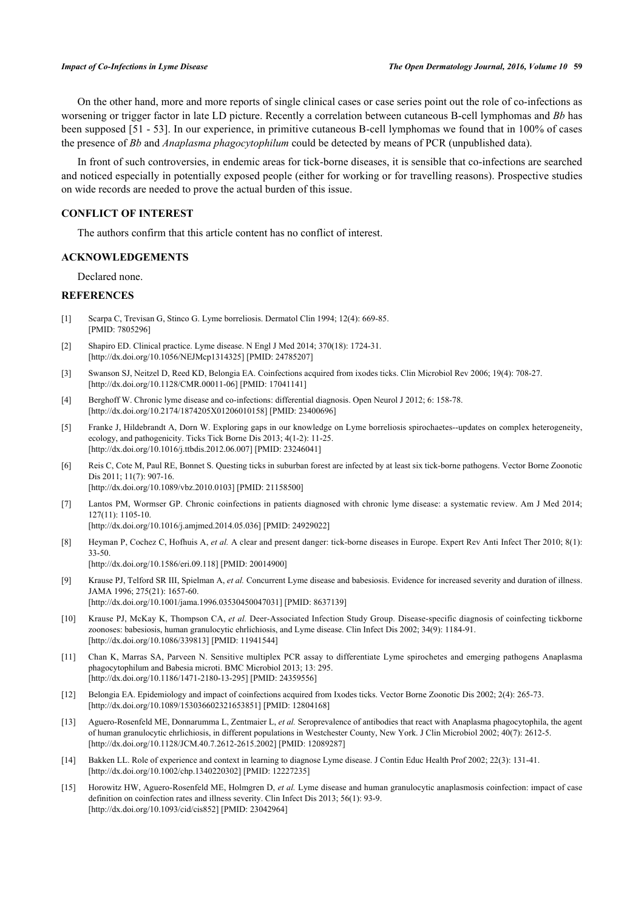On the other hand, more and more reports of single clinical cases or case series point out the role of co-infections as worsening or trigger factor in late LD picture. Recently a correlation between cutaneous B-cell lymphomas and *Bb* has been supposed [[51](#page-6-14) - [53\]](#page-6-15). In our experience, in primitive cutaneous B-cell lymphomas we found that in 100% of cases the presence of *Bb* and *Anaplasma phagocytophilum* could be detected by means of PCR (unpublished data).

In front of such controversies, in endemic areas for tick-borne diseases, it is sensible that co-infections are searched and noticed especially in potentially exposed people (either for working or for travelling reasons). Prospective studies on wide records are needed to prove the actual burden of this issue.

# **CONFLICT OF INTEREST**

The authors confirm that this article content has no conflict of interest.

#### **ACKNOWLEDGEMENTS**

Declared none.

#### **REFERENCES**

- <span id="page-4-0"></span>[1] Scarpa C, Trevisan G, Stinco G. Lyme borreliosis. Dermatol Clin 1994; 12(4): 669-85. [PMID: [7805296\]](http://www.ncbi.nlm.nih.gov/pubmed/7805296)
- <span id="page-4-1"></span>[2] Shapiro ED. Clinical practice. Lyme disease. N Engl J Med 2014; 370(18): 1724-31. [\[http://dx.doi.org/10.1056/NEJMcp1314325](http://dx.doi.org/10.1056/NEJMcp1314325)] [PMID: [24785207\]](http://www.ncbi.nlm.nih.gov/pubmed/24785207)
- <span id="page-4-2"></span>[3] Swanson SJ, Neitzel D, Reed KD, Belongia EA. Coinfections acquired from ixodes ticks. Clin Microbiol Rev 2006; 19(4): 708-27. [\[http://dx.doi.org/10.1128/CMR.00011-06](http://dx.doi.org/10.1128/CMR.00011-06)] [PMID: [17041141\]](http://www.ncbi.nlm.nih.gov/pubmed/17041141)
- <span id="page-4-3"></span>[4] Berghoff W. Chronic lyme disease and co-infections: differential diagnosis. Open Neurol J 2012; 6: 158-78. [\[http://dx.doi.org/10.2174/1874205X01206010158\]](http://dx.doi.org/10.2174/1874205X01206010158) [PMID: [23400696](http://www.ncbi.nlm.nih.gov/pubmed/23400696)]
- <span id="page-4-5"></span>[5] Franke J, Hildebrandt A, Dorn W. Exploring gaps in our knowledge on Lyme borreliosis spirochaetes--updates on complex heterogeneity, ecology, and pathogenicity. Ticks Tick Borne Dis 2013; 4(1-2): 11-25. [\[http://dx.doi.org/10.1016/j.ttbdis.2012.06.007\]](http://dx.doi.org/10.1016/j.ttbdis.2012.06.007) [PMID: [23246041](http://www.ncbi.nlm.nih.gov/pubmed/23246041)]
- <span id="page-4-4"></span>[6] Reis C, Cote M, Paul RE, Bonnet S. Questing ticks in suburban forest are infected by at least six tick-borne pathogens. Vector Borne Zoonotic Dis 2011; 11(7): 907-16. [\[http://dx.doi.org/10.1089/vbz.2010.0103](http://dx.doi.org/10.1089/vbz.2010.0103)] [PMID: [21158500\]](http://www.ncbi.nlm.nih.gov/pubmed/21158500)
- <span id="page-4-6"></span>[7] Lantos PM, Wormser GP. Chronic coinfections in patients diagnosed with chronic lyme disease: a systematic review. Am J Med 2014; 127(11): 1105-10.
	- [\[http://dx.doi.org/10.1016/j.amjmed.2014.05.036\]](http://dx.doi.org/10.1016/j.amjmed.2014.05.036) [PMID: [24929022](http://www.ncbi.nlm.nih.gov/pubmed/24929022)]
- <span id="page-4-7"></span>[8] Heyman P, Cochez C, Hofhuis A, *et al.* A clear and present danger: tick-borne diseases in Europe. Expert Rev Anti Infect Ther 2010; 8(1): 33-50. [\[http://dx.doi.org/10.1586/eri.09.118](http://dx.doi.org/10.1586/eri.09.118)] [PMID: [20014900\]](http://www.ncbi.nlm.nih.gov/pubmed/20014900)
- <span id="page-4-8"></span>[9] Krause PJ, Telford SR III, Spielman A, *et al.* Concurrent Lyme disease and babesiosis. Evidence for increased severity and duration of illness. JAMA 1996; 275(21): 1657-60. [\[http://dx.doi.org/10.1001/jama.1996.03530450047031](http://dx.doi.org/10.1001/jama.1996.03530450047031)] [PMID: [8637139\]](http://www.ncbi.nlm.nih.gov/pubmed/8637139)
- <span id="page-4-9"></span>[10] Krause PJ, McKay K, Thompson CA, *et al.* Deer-Associated Infection Study Group. Disease-specific diagnosis of coinfecting tickborne zoonoses: babesiosis, human granulocytic ehrlichiosis, and Lyme disease. Clin Infect Dis 2002; 34(9): 1184-91. [\[http://dx.doi.org/10.1086/339813\]](http://dx.doi.org/10.1086/339813) [PMID: [11941544](http://www.ncbi.nlm.nih.gov/pubmed/11941544)]
- <span id="page-4-10"></span>[11] Chan K, Marras SA, Parveen N. Sensitive multiplex PCR assay to differentiate Lyme spirochetes and emerging pathogens Anaplasma phagocytophilum and Babesia microti. BMC Microbiol 2013; 13: 295. [\[http://dx.doi.org/10.1186/1471-2180-13-295\]](http://dx.doi.org/10.1186/1471-2180-13-295) [PMID: [24359556](http://www.ncbi.nlm.nih.gov/pubmed/24359556)]
- <span id="page-4-11"></span>[12] Belongia EA. Epidemiology and impact of coinfections acquired from Ixodes ticks. Vector Borne Zoonotic Dis 2002; 2(4): 265-73. [\[http://dx.doi.org/10.1089/153036602321653851\]](http://dx.doi.org/10.1089/153036602321653851) [PMID: [12804168](http://www.ncbi.nlm.nih.gov/pubmed/12804168)]
- <span id="page-4-12"></span>[13] Aguero-Rosenfeld ME, Donnarumma L, Zentmaier L, *et al.* Seroprevalence of antibodies that react with Anaplasma phagocytophila, the agent of human granulocytic ehrlichiosis, in different populations in Westchester County, New York. J Clin Microbiol 2002; 40(7): 2612-5. [\[http://dx.doi.org/10.1128/JCM.40.7.2612-2615.2002](http://dx.doi.org/10.1128/JCM.40.7.2612-2615.2002)] [PMID: [12089287\]](http://www.ncbi.nlm.nih.gov/pubmed/12089287)
- <span id="page-4-13"></span>[14] Bakken LL. Role of experience and context in learning to diagnose Lyme disease. J Contin Educ Health Prof 2002; 22(3): 131-41. [\[http://dx.doi.org/10.1002/chp.1340220302](http://dx.doi.org/10.1002/chp.1340220302)] [PMID: [12227235\]](http://www.ncbi.nlm.nih.gov/pubmed/12227235)
- <span id="page-4-14"></span>[15] Horowitz HW, Aguero-Rosenfeld ME, Holmgren D, *et al.* Lyme disease and human granulocytic anaplasmosis coinfection: impact of case definition on coinfection rates and illness severity. Clin Infect Dis 2013; 56(1): 93-9. [\[http://dx.doi.org/10.1093/cid/cis852\]](http://dx.doi.org/10.1093/cid/cis852) [PMID: [23042964](http://www.ncbi.nlm.nih.gov/pubmed/23042964)]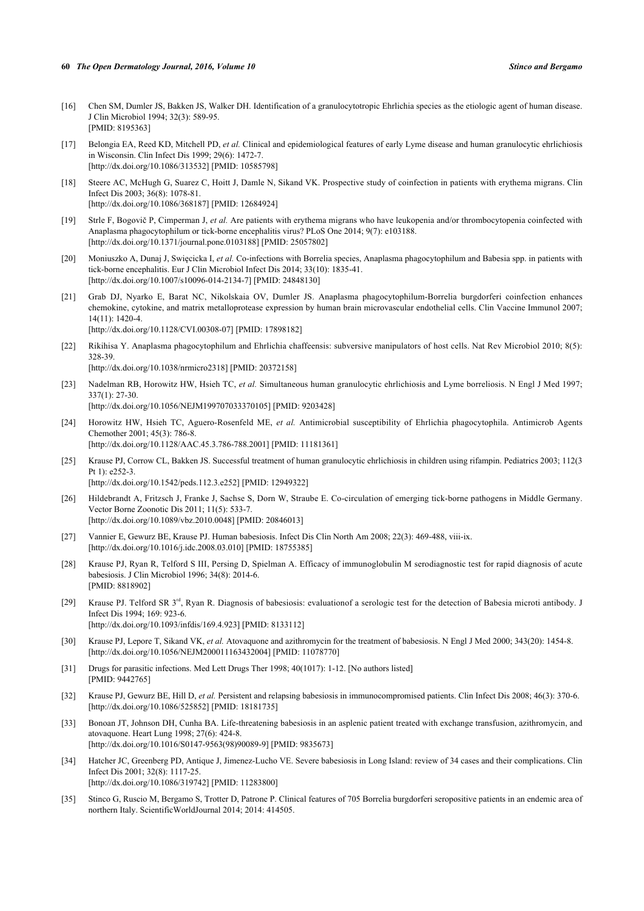- <span id="page-5-0"></span>[16] Chen SM, Dumler JS, Bakken JS, Walker DH. Identification of a granulocytotropic Ehrlichia species as the etiologic agent of human disease. J Clin Microbiol 1994; 32(3): 589-95. [PMID: [8195363\]](http://www.ncbi.nlm.nih.gov/pubmed/8195363)
- <span id="page-5-1"></span>[17] Belongia EA, Reed KD, Mitchell PD, *et al.* Clinical and epidemiological features of early Lyme disease and human granulocytic ehrlichiosis in Wisconsin. Clin Infect Dis 1999; 29(6): 1472-7. [\[http://dx.doi.org/10.1086/313532\]](http://dx.doi.org/10.1086/313532) [PMID: [10585798](http://www.ncbi.nlm.nih.gov/pubmed/10585798)]
- <span id="page-5-2"></span>[18] Steere AC, McHugh G, Suarez C, Hoitt J, Damle N, Sikand VK. Prospective study of coinfection in patients with erythema migrans. Clin Infect Dis 2003; 36(8): 1078-81. [\[http://dx.doi.org/10.1086/368187\]](http://dx.doi.org/10.1086/368187) [PMID: [12684924](http://www.ncbi.nlm.nih.gov/pubmed/12684924)]
- <span id="page-5-3"></span>[19] Strle F, Bogovič P, Cimperman J, *et al.* Are patients with erythema migrans who have leukopenia and/or thrombocytopenia coinfected with Anaplasma phagocytophilum or tick-borne encephalitis virus? PLoS One 2014; 9(7): e103188. [\[http://dx.doi.org/10.1371/journal.pone.0103188](http://dx.doi.org/10.1371/journal.pone.0103188)] [PMID: [25057802\]](http://www.ncbi.nlm.nih.gov/pubmed/25057802)
- <span id="page-5-4"></span>[20] Moniuszko A, Dunaj J, Swięcicka I, *et al.* Co-infections with Borrelia species, Anaplasma phagocytophilum and Babesia spp. in patients with tick-borne encephalitis. Eur J Clin Microbiol Infect Dis 2014; 33(10): 1835-41. [\[http://dx.doi.org/10.1007/s10096-014-2134-7\]](http://dx.doi.org/10.1007/s10096-014-2134-7) [PMID: [24848130](http://www.ncbi.nlm.nih.gov/pubmed/24848130)]
- <span id="page-5-5"></span>[21] Grab DJ, Nyarko E, Barat NC, Nikolskaia OV, Dumler JS. Anaplasma phagocytophilum-Borrelia burgdorferi coinfection enhances chemokine, cytokine, and matrix metalloprotease expression by human brain microvascular endothelial cells. Clin Vaccine Immunol 2007;  $14(11): 1420 - 4$ [\[http://dx.doi.org/10.1128/CVI.00308-07](http://dx.doi.org/10.1128/CVI.00308-07)] [PMID: [17898182\]](http://www.ncbi.nlm.nih.gov/pubmed/17898182)
- <span id="page-5-6"></span>[22] Rikihisa Y. Anaplasma phagocytophilum and Ehrlichia chaffeensis: subversive manipulators of host cells. Nat Rev Microbiol 2010; 8(5): 328-39. [\[http://dx.doi.org/10.1038/nrmicro2318](http://dx.doi.org/10.1038/nrmicro2318)] [PMID: [20372158\]](http://www.ncbi.nlm.nih.gov/pubmed/20372158)
- <span id="page-5-7"></span>[23] Nadelman RB, Horowitz HW, Hsieh TC, *et al.* Simultaneous human granulocytic ehrlichiosis and Lyme borreliosis. N Engl J Med 1997; 337(1): 27-30. [\[http://dx.doi.org/10.1056/NEJM199707033370105\]](http://dx.doi.org/10.1056/NEJM199707033370105) [PMID: [9203428](http://www.ncbi.nlm.nih.gov/pubmed/9203428)]
- <span id="page-5-8"></span>[24] Horowitz HW, Hsieh TC, Aguero-Rosenfeld ME, *et al.* Antimicrobial susceptibility of Ehrlichia phagocytophila. Antimicrob Agents Chemother 2001; 45(3): 786-8. [\[http://dx.doi.org/10.1128/AAC.45.3.786-788.2001](http://dx.doi.org/10.1128/AAC.45.3.786-788.2001)] [PMID: [11181361\]](http://www.ncbi.nlm.nih.gov/pubmed/11181361)
- <span id="page-5-9"></span>[25] Krause PJ, Corrow CL, Bakken JS. Successful treatment of human granulocytic ehrlichiosis in children using rifampin. Pediatrics 2003; 112(3 Pt  $1$ ):  $e$ 252-3. [\[http://dx.doi.org/10.1542/peds.112.3.e252](http://dx.doi.org/10.1542/peds.112.3.e252)] [PMID: [12949322\]](http://www.ncbi.nlm.nih.gov/pubmed/12949322)
- <span id="page-5-10"></span>[26] Hildebrandt A, Fritzsch J, Franke J, Sachse S, Dorn W, Straube E. Co-circulation of emerging tick-borne pathogens in Middle Germany. Vector Borne Zoonotic Dis 2011; 11(5): 533-7. [\[http://dx.doi.org/10.1089/vbz.2010.0048](http://dx.doi.org/10.1089/vbz.2010.0048)] [PMID: [20846013\]](http://www.ncbi.nlm.nih.gov/pubmed/20846013)
- <span id="page-5-11"></span>[27] Vannier E, Gewurz BE, Krause PJ. Human babesiosis. Infect Dis Clin North Am 2008; 22(3): 469-488, viii-ix. [\[http://dx.doi.org/10.1016/j.idc.2008.03.010\]](http://dx.doi.org/10.1016/j.idc.2008.03.010) [PMID: [18755385](http://www.ncbi.nlm.nih.gov/pubmed/18755385)]
- <span id="page-5-12"></span>[28] Krause PJ, Ryan R, Telford S III, Persing D, Spielman A. Efficacy of immunoglobulin M serodiagnostic test for rapid diagnosis of acute babesiosis. J Clin Microbiol 1996; 34(8): 2014-6. [PMID: [8818902\]](http://www.ncbi.nlm.nih.gov/pubmed/8818902)
- <span id="page-5-13"></span>[29] Krause PJ. Telford SR 3<sup>rd</sup>, Ryan R. Diagnosis of babesiosis: evaluationof a serologic test for the detection of Babesia microti antibody. J Infect Dis 1994; 169: 923-6. [\[http://dx.doi.org/10.1093/infdis/169.4.923](http://dx.doi.org/10.1093/infdis/169.4.923)] [PMID: [8133112\]](http://www.ncbi.nlm.nih.gov/pubmed/8133112)
- <span id="page-5-14"></span>[30] Krause PJ, Lepore T, Sikand VK, *et al.* Atovaquone and azithromycin for the treatment of babesiosis. N Engl J Med 2000; 343(20): 1454-8. [\[http://dx.doi.org/10.1056/NEJM200011163432004\]](http://dx.doi.org/10.1056/NEJM200011163432004) [PMID: [11078770](http://www.ncbi.nlm.nih.gov/pubmed/11078770)]
- <span id="page-5-15"></span>[31] Drugs for parasitic infections. Med Lett Drugs Ther 1998; 40(1017): 1-12. [No authors listed] [PMID: [9442765\]](http://www.ncbi.nlm.nih.gov/pubmed/9442765)
- <span id="page-5-16"></span>[32] Krause PJ, Gewurz BE, Hill D, *et al.* Persistent and relapsing babesiosis in immunocompromised patients. Clin Infect Dis 2008; 46(3): 370-6. [\[http://dx.doi.org/10.1086/525852\]](http://dx.doi.org/10.1086/525852) [PMID: [18181735](http://www.ncbi.nlm.nih.gov/pubmed/18181735)]
- <span id="page-5-17"></span>[33] Bonoan JT, Johnson DH, Cunha BA. Life-threatening babesiosis in an asplenic patient treated with exchange transfusion, azithromycin, and atovaquone. Heart Lung 1998; 27(6): 424-8. [\[http://dx.doi.org/10.1016/S0147-9563\(98\)90089-9\]](http://dx.doi.org/10.1016/S0147-9563(98)90089-9) [PMID: [9835673](http://www.ncbi.nlm.nih.gov/pubmed/9835673)]
- <span id="page-5-18"></span>[34] Hatcher JC, Greenberg PD, Antique J, Jimenez-Lucho VE. Severe babesiosis in Long Island: review of 34 cases and their complications. Clin Infect Dis 2001; 32(8): 1117-25. [\[http://dx.doi.org/10.1086/319742\]](http://dx.doi.org/10.1086/319742) [PMID: [11283800](http://www.ncbi.nlm.nih.gov/pubmed/11283800)]
- <span id="page-5-19"></span>[35] Stinco G, Ruscio M, Bergamo S, Trotter D, Patrone P. Clinical features of 705 Borrelia burgdorferi seropositive patients in an endemic area of northern Italy. ScientificWorldJournal 2014; 2014: 414505.